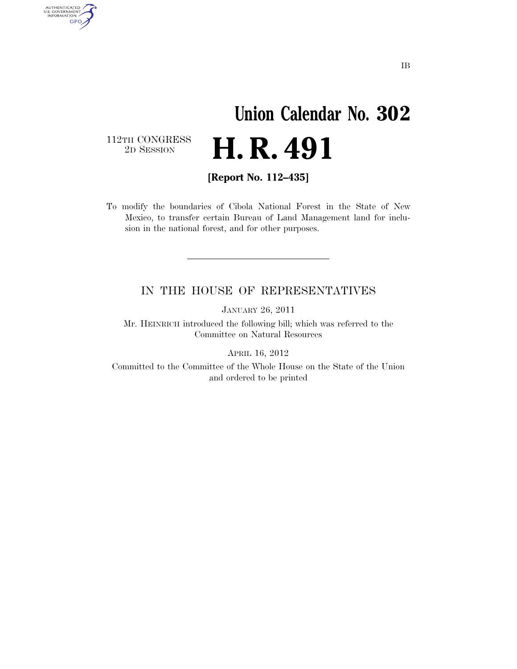## **Union Calendar No. 302**  2D SESSION **H. R. 491**

 $\begin{array}{c} \textbf{112TH CONGRESS} \\ \textbf{2D} \textbf{Session} \end{array}$ 

AUTHENTICATED<br>U.S. GOVERNMENT<br>INFORMATION **GPO** 

**[Report No. 112–435]** 

To modify the boundaries of Cibola National Forest in the State of New Mexico, to transfer certain Bureau of Land Management land for inclusion in the national forest, and for other purposes.

## IN THE HOUSE OF REPRESENTATIVES

JANUARY 26, 2011

Mr. HEINRICH introduced the following bill; which was referred to the Committee on Natural Resources

APRIL 16, 2012

Committed to the Committee of the Whole House on the State of the Union and ordered to be printed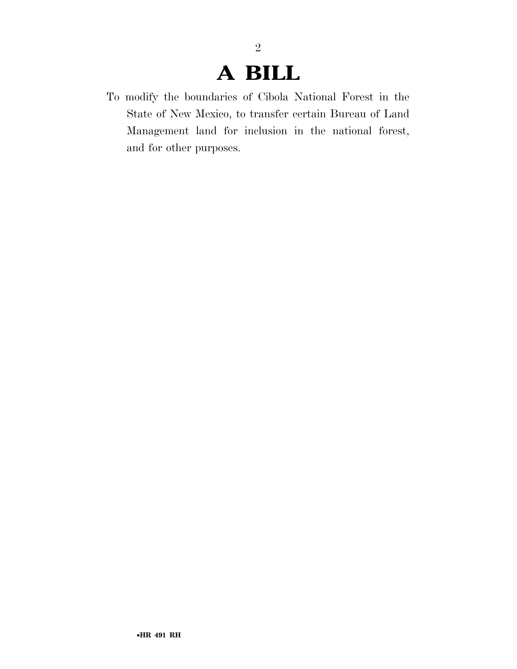## **A BILL**

2

To modify the boundaries of Cibola National Forest in the State of New Mexico, to transfer certain Bureau of Land Management land for inclusion in the national forest, and for other purposes.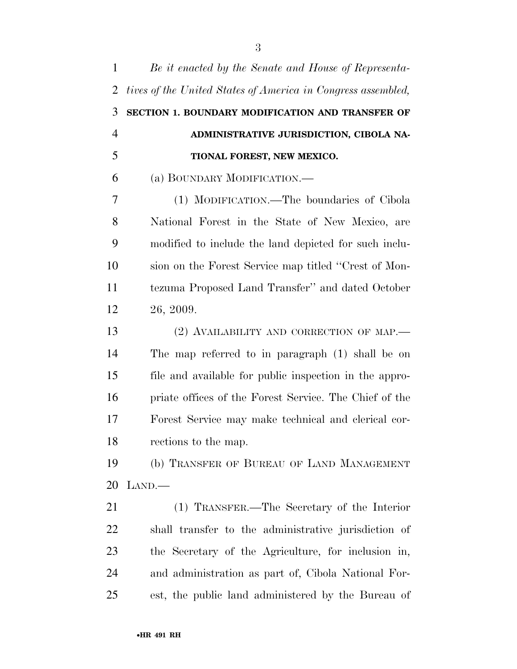| 1              | Be it enacted by the Senate and House of Representa-         |
|----------------|--------------------------------------------------------------|
| $\overline{2}$ | tives of the United States of America in Congress assembled, |
| 3              | SECTION 1. BOUNDARY MODIFICATION AND TRANSFER OF             |
| $\overline{4}$ | ADMINISTRATIVE JURISDICTION, CIBOLA NA-                      |
| 5              | TIONAL FOREST, NEW MEXICO.                                   |
| 6              | (a) BOUNDARY MODIFICATION.—                                  |
| 7              | (1) MODIFICATION.—The boundaries of Cibola                   |
| 8              | National Forest in the State of New Mexico, are              |
| 9              | modified to include the land depicted for such inclu-        |
| 10             | sion on the Forest Service map titled "Crest of Mon-         |
| 11             | tezuma Proposed Land Transfer" and dated October             |
| 12             | 26, 2009.                                                    |
| 13             | (2) AVAILABILITY AND CORRECTION OF MAP.                      |
| 14             | The map referred to in paragraph (1) shall be on             |
| 15             | file and available for public inspection in the appro-       |
| 16             | priate offices of the Forest Service. The Chief of the       |
| 17             | Forest Service may make technical and clerical cor-          |
| 18             | rections to the map.                                         |
| 19             | (b) TRANSFER OF BUREAU OF LAND MANAGEMENT                    |
| 20             | $\text{LAND}$ .—                                             |
| 21             | (1) TRANSFER.—The Secretary of the Interior                  |
| 22             | shall transfer to the administrative jurisdiction of         |
| 23             | the Secretary of the Agriculture, for inclusion in,          |
| 24             | and administration as part of, Cibola National For-          |
| 25             | est, the public land administered by the Bureau of           |
|                |                                                              |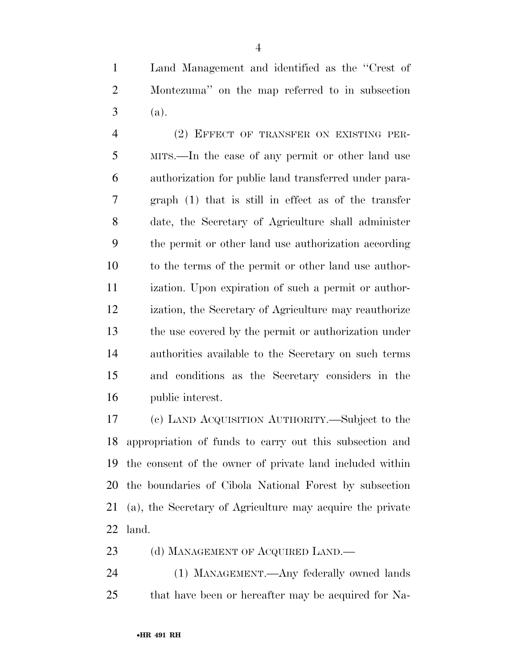Land Management and identified as the ''Crest of Montezuma'' on the map referred to in subsection  $3 \text{ (a)}.$ 

 (2) EFFECT OF TRANSFER ON EXISTING PER- MITS.—In the case of any permit or other land use authorization for public land transferred under para- graph (1) that is still in effect as of the transfer date, the Secretary of Agriculture shall administer the permit or other land use authorization according to the terms of the permit or other land use author- ization. Upon expiration of such a permit or author- ization, the Secretary of Agriculture may reauthorize the use covered by the permit or authorization under authorities available to the Secretary on such terms and conditions as the Secretary considers in the public interest.

 (c) LAND ACQUISITION AUTHORITY.—Subject to the appropriation of funds to carry out this subsection and the consent of the owner of private land included within the boundaries of Cibola National Forest by subsection (a), the Secretary of Agriculture may acquire the private land.

23 (d) MANAGEMENT OF ACQUIRED LAND.—

 (1) MANAGEMENT.—Any federally owned lands that have been or hereafter may be acquired for Na-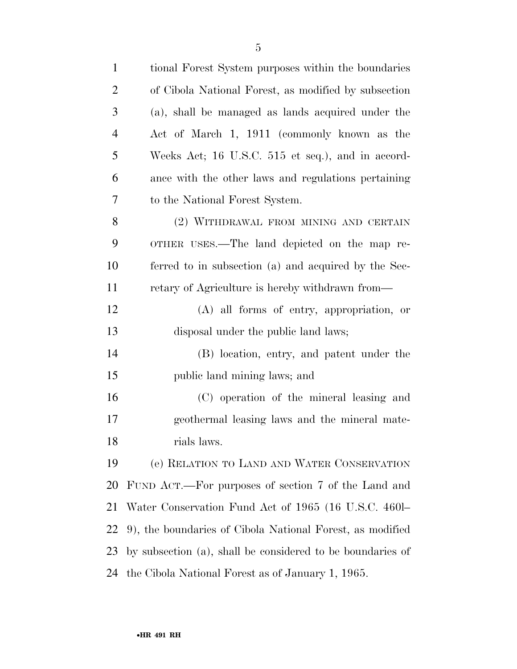| $\mathbf{1}$   | tional Forest System purposes within the boundaries        |
|----------------|------------------------------------------------------------|
| $\overline{2}$ | of Cibola National Forest, as modified by subsection       |
| 3              | (a), shall be managed as lands acquired under the          |
| $\overline{4}$ | Act of March 1, 1911 (commonly known as the                |
| 5              | Weeks Act; 16 U.S.C. 515 et seq.), and in accord-          |
| 6              | ance with the other laws and regulations pertaining        |
| 7              | to the National Forest System.                             |
| 8              | (2) WITHDRAWAL FROM MINING AND CERTAIN                     |
| 9              | OTHER USES.—The land depicted on the map re-               |
| 10             | ferred to in subsection (a) and acquired by the Sec-       |
| 11             | retary of Agriculture is hereby withdrawn from—            |
| 12             | (A) all forms of entry, appropriation, or                  |
| 13             | disposal under the public land laws;                       |
| 14             | (B) location, entry, and patent under the                  |
| 15             | public land mining laws; and                               |
| 16             | (C) operation of the mineral leasing and                   |
| 17             | geothermal leasing laws and the mineral mate-              |
| 18             | rials laws.                                                |
| 19             | (e) RELATION TO LAND AND WATER CONSERVATION                |
| 20             | FUND ACT.—For purposes of section 7 of the Land and        |
| 21             | Water Conservation Fund Act of 1965 (16 U.S.C. 460-        |
| 22             | 9), the boundaries of Cibola National Forest, as modified  |
| 23             | by subsection (a), shall be considered to be boundaries of |
| 24             | the Cibola National Forest as of January 1, 1965.          |